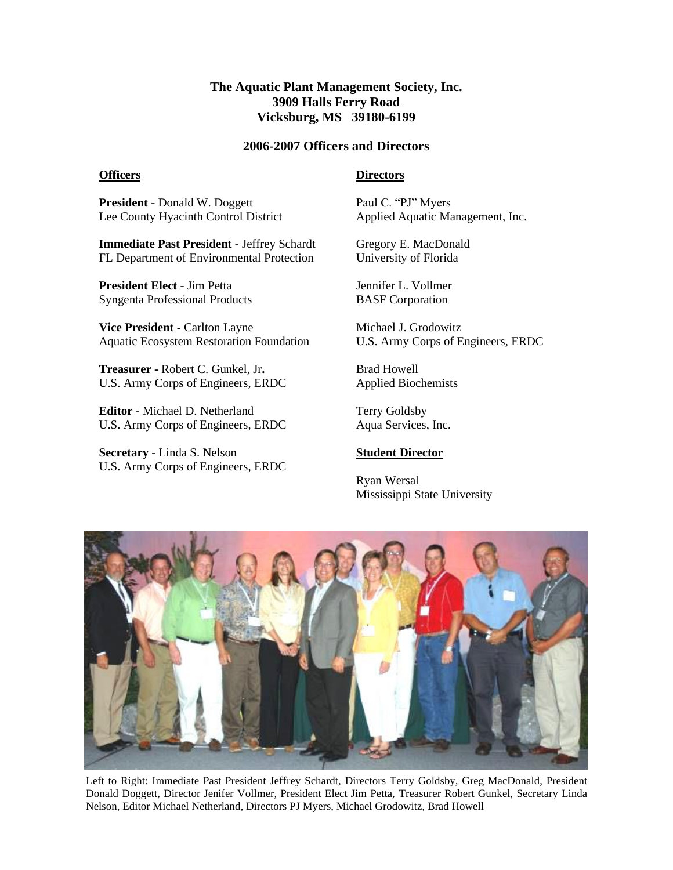# **The Aquatic Plant Management Society, Inc. 3909 Halls Ferry Road Vicksburg, MS 39180-6199**

### **2006-2007 Officers and Directors**

#### **Officers**

## **Directors**

**President -** Donald W. Doggett Lee County Hyacinth Control District

**Immediate Past President -** Jeffrey Schardt FL Department of Environmental Protection

**President Elect -** Jim Petta Syngenta Professional Products

**Vice President -** Carlton Layne Aquatic Ecosystem Restoration Foundation

**Treasurer -** Robert C. Gunkel, Jr**.** U.S. Army Corps of Engineers, ERDC

**Editor -** Michael D. Netherland U.S. Army Corps of Engineers, ERDC

**Secretary -** Linda S. Nelson U.S. Army Corps of Engineers, ERDC Paul C. "PJ" Myers Applied Aquatic Management, Inc.

Gregory E. MacDonald University of Florida

Jennifer L. Vollmer BASF Corporation

Michael J. Grodowitz U.S. Army Corps of Engineers, ERDC

Brad Howell Applied Biochemists

Terry Goldsby Aqua Services, Inc.

#### **Student Director**

Ryan Wersal Mississippi State University



Left to Right: Immediate Past President Jeffrey Schardt, Directors Terry Goldsby, Greg MacDonald, President Donald Doggett, Director Jenifer Vollmer, President Elect Jim Petta, Treasurer Robert Gunkel, Secretary Linda Nelson, Editor Michael Netherland, Directors PJ Myers, Michael Grodowitz, Brad Howell